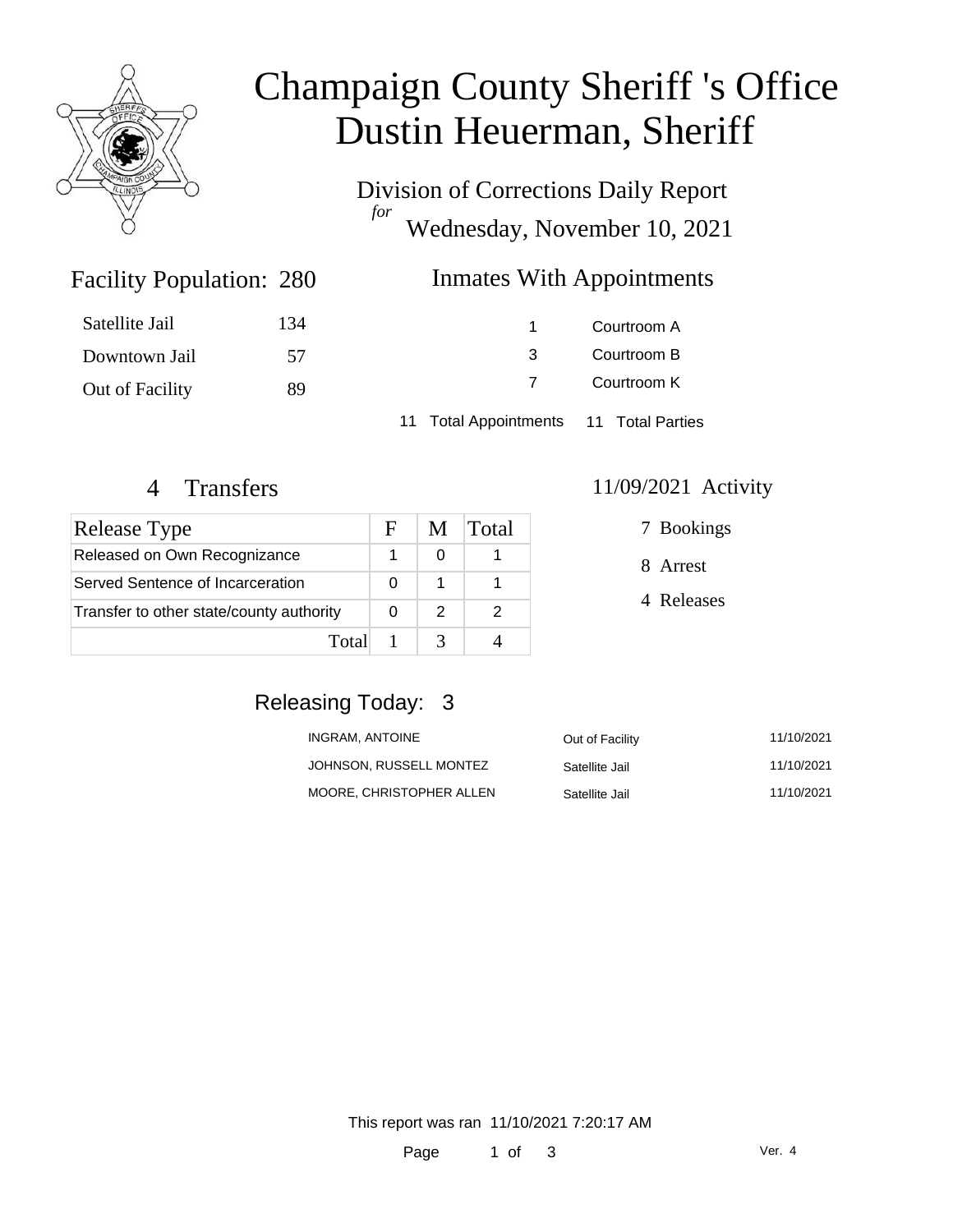

# Champaign County Sheriff 's Office Dustin Heuerman, Sheriff

Division of Corrections Daily Report *for* Wednesday, November 10, 2021

### Inmates With Appointments

| Satellite Jail  | 134 |                                        | Courtroom A |  |
|-----------------|-----|----------------------------------------|-------------|--|
| Downtown Jail   | 57  | 3                                      | Courtroom B |  |
| Out of Facility | 89  |                                        | Courtroom K |  |
|                 |     | 11 Total Appointments 11 Total Parties |             |  |

Facility Population: 280

| <b>Release Type</b>                      | F | M | Total |
|------------------------------------------|---|---|-------|
| Released on Own Recognizance             |   | 0 |       |
| Served Sentence of Incarceration         |   |   |       |
| Transfer to other state/county authority |   | 2 |       |
| Total                                    |   |   |       |

#### 4 Transfers 11/09/2021 Activity

| 7 Bookings |
|------------|
|            |

8 Arrest

4 Releases

## Releasing Today: 3

| INGRAM, ANTOINE          | Out of Facility | 11/10/2021 |
|--------------------------|-----------------|------------|
| JOHNSON. RUSSELL MONTEZ  | Satellite Jail  | 11/10/2021 |
| MOORE. CHRISTOPHER ALLEN | Satellite Jail  | 11/10/2021 |

This report was ran 11/10/2021 7:20:17 AM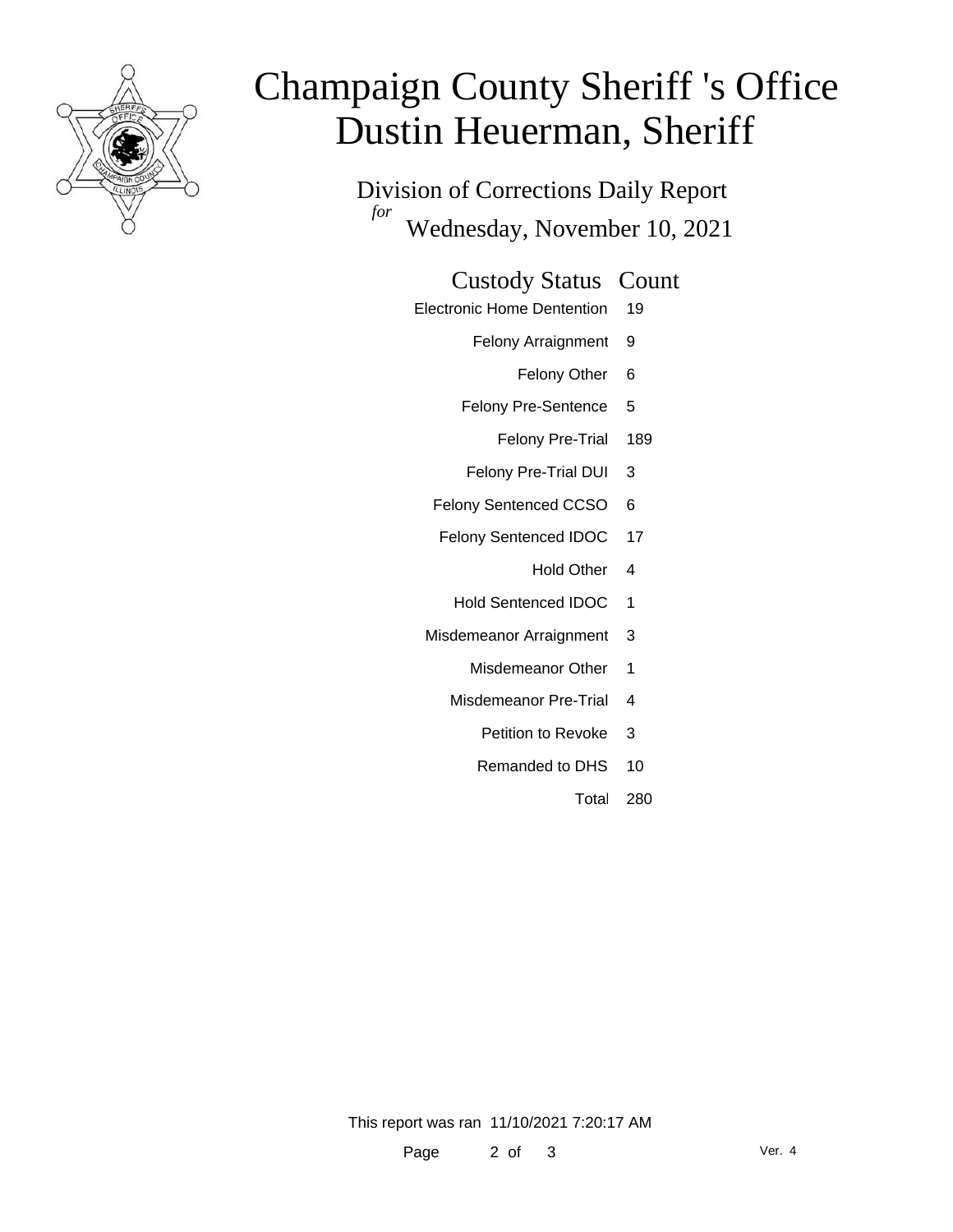

# Champaign County Sheriff 's Office Dustin Heuerman, Sheriff

Division of Corrections Daily Report *for* Wednesday, November 10, 2021

#### Custody Status Count

- Electronic Home Dentention 19
	- Felony Arraignment 9
		- Felony Other 6
	- Felony Pre-Sentence 5
		- Felony Pre-Trial 189
	- Felony Pre-Trial DUI 3
	- Felony Sentenced CCSO 6
	- Felony Sentenced IDOC 17
		- Hold Other 4
		- Hold Sentenced IDOC 1
	- Misdemeanor Arraignment 3
		- Misdemeanor Other 1
		- Misdemeanor Pre-Trial 4
			- Petition to Revoke 3
			- Remanded to DHS 10
				- Total 280

This report was ran 11/10/2021 7:20:17 AM